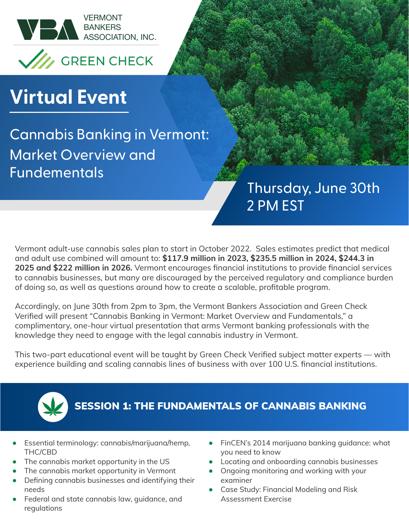

# **Virtual Event**

Cannabis Banking in Vermont: Market Overview and Fundementals

## Thursday, June 30th 2 PM EST

Vermont adult-use cannabis sales plan to start in October 2022. Sales estimates predict that medical and adult use combined will amount to: **\$117.9 million in 2023, \$235.5 million in 2024, \$244.3 in 2025 and \$222 million in 2026.** Vermont encourages financial institutions to provide financial services to cannabis businesses, but many are discouraged by the perceived regulatory and compliance burden of doing so, as well as questions around how to create a scalable, profitable program.

Accordingly, on June 30th from 2pm to 3pm, the Vermont Bankers Association and Green Check Verified will present "Cannabis Banking in Vermont: Market Overview and Fundamentals," a complimentary, one-hour virtual presentation that arms Vermont banking professionals with the knowledge they need to engage with the legal cannabis industry in Vermont.

This two-part educational event will be taught by Green Check Verified subject matter experts — with experience building and scaling cannabis lines of business with over 100 U.S. financial institutions.



#### SESSION 1: THE FUNDAMENTALS OF CANNABIS BANKING

- **•** Essential terminology: cannabis/marijuana/hemp, THC/CBD
- **•** The cannabis market opportunity in the US
- **•** The cannabis market opportunity in Vermont
- **•** Defining cannabis businesses and identifying their needs
- **•** Federal and state cannabis law, guidance, and regulations
- **•** FinCEN's 2014 marijuana banking guidance: what you need to know
- **•** Locating and onboarding cannabis businesses
- **•** Ongoing monitoring and working with your examiner
- **•** Case Study: Financial Modeling and Risk Assessment Exercise